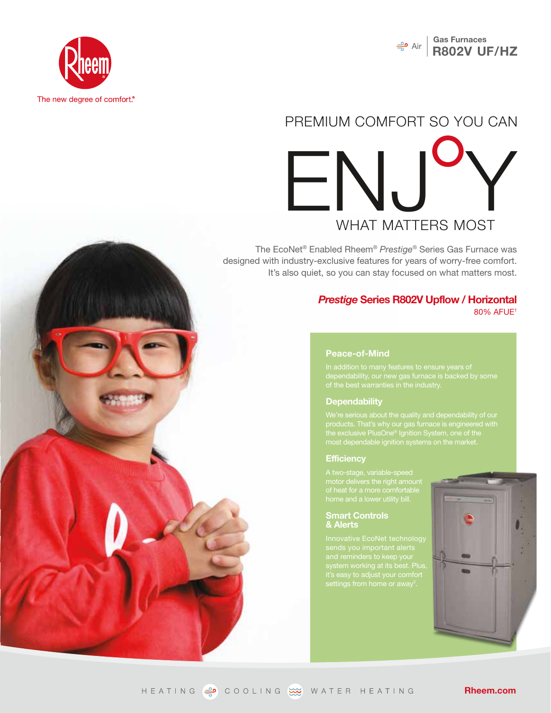



## ENJY PREMIUM COMFORT SO YOU CAN

The EcoNet® Enabled Rheem® *Prestige*® Series Gas Furnace was designed with industry-exclusive features for years of worry-free comfort. It's also quiet, so you can stay focused on what matters most.

#### *Prestige* **Series R802V Upflow / Horizontal** 80% AFUE1

#### **Peace-of-Mind**

#### **Dependability**

the exclusive PlusOne® Ignition System, one of the

#### **Efficiency**

#### **Smart Controls & Alerts**

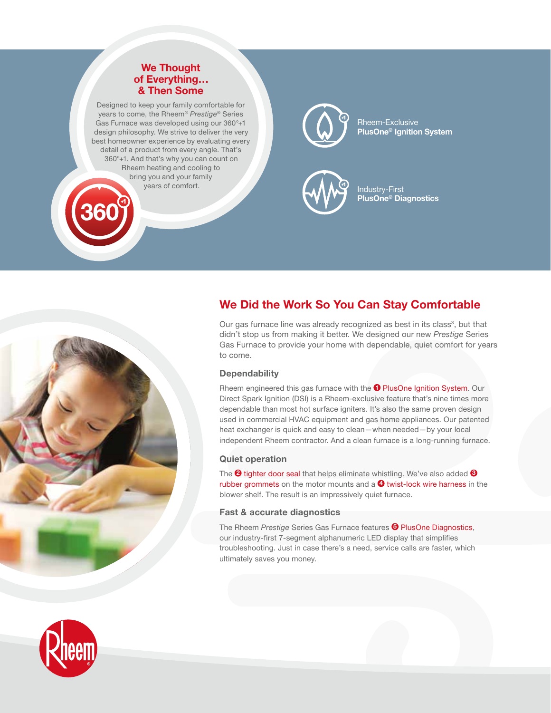#### **We Thought of Everything… & Then Some**

Designed to keep your family comfortable for years to come, the Rheem® *Prestige®* Series Gas Furnace was developed using our 360°+1 design philosophy. We strive to deliver the very best homeowner experience by evaluating every detail of a product from every angle. That's 360°+1. And that's why you can count on Rheem heating and cooling to bring you and your family years of comfort.



Rheem-Exclusive **PlusOne® Ignition System**



Industry-First **PlusOne® Diagnostics**

# to come.

### **We Did the Work So You Can Stay Comfortable**

Our gas furnace line was already recognized as best in its class<sup>3</sup>, but that didn't stop us from making it better. We designed our new *Prestige* Series Gas Furnace to provide your home with dependable, quiet comfort for years

#### **Dependability**

Rheem engineered this gas furnace with the **1** PlusOne Ignition System. Our Direct Spark Ignition (DSI) is a Rheem-exclusive feature that's nine times more dependable than most hot surface igniters. It's also the same proven design used in commercial HVAC equipment and gas home appliances. Our patented heat exchanger is quick and easy to clean—when needed—by your local independent Rheem contractor. And a clean furnace is a long-running furnace.

#### **Quiet operation**

The **2** tighter door seal that helps eliminate whistling. We've also added **3** rubber grommets on the motor mounts and a  $\bullet$  twist-lock wire harness in the blower shelf. The result is an impressively quiet furnace.

#### **Fast & accurate diagnostics**

The Rheem *Prestige* Series Gas Furnace features **5** PlusOne Diagnostics, our industry-first 7-segment alphanumeric LED display that simplifies troubleshooting. Just in case there's a need, service calls are faster, which ultimately saves you money.

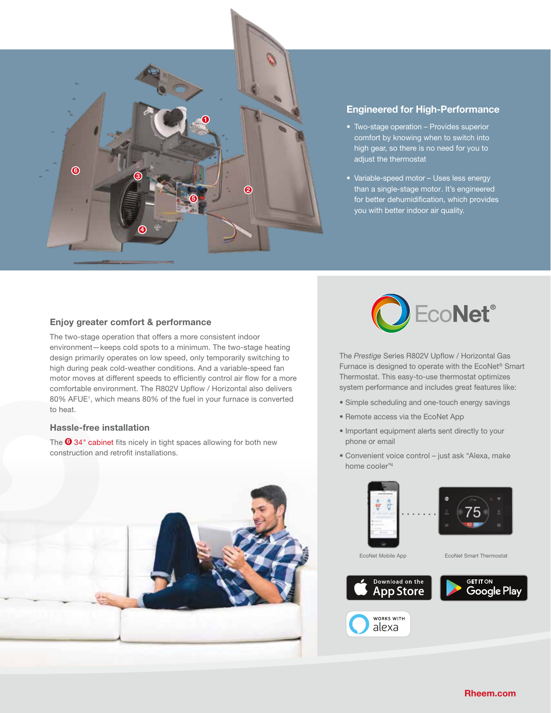

#### **Engineered for High-Performance**

- Two-stage operation Provides superior comfort by knowing when to switch into high gear, so there is no need for you to adjust the thermostat
- Variable-speed motor Uses less energy than a single-stage motor. It's engineered for better dehumidification, which provides you with better indoor air quality.

#### **Enjoy greater comfort & performance**

The two-stage operation that offers a more consistent indoor environment—keeps cold spots to a minimum. The two-stage heating design primarily operates on low speed, only temporarily switching to high during peak cold-weather conditions. And a variable-speed fan motor moves at different speeds to efficiently control air flow for a more comfortable environment. The R802V Upflow / Horizontal also delivers 80% AFUE1 , which means 80% of the fuel in your furnace is converted to heat.

#### **Hassle-free installation**

The **6** 34*"* cabinet fits nicely in tight spaces allowing for both new construction and retrofit installations.





The *Prestige* Series R802V Upflow / Horizontal Gas Furnace is designed to operate with the EcoNet® Smart Thermostat. This easy-to-use thermostat optimizes system performance and includes great features like:

- Simple scheduling and one-touch energy savings
- Remote access via the EcoNet App
- Important equipment alerts sent directly to your phone or email
- Convenient voice control just ask "Alexa, make home cooler"4